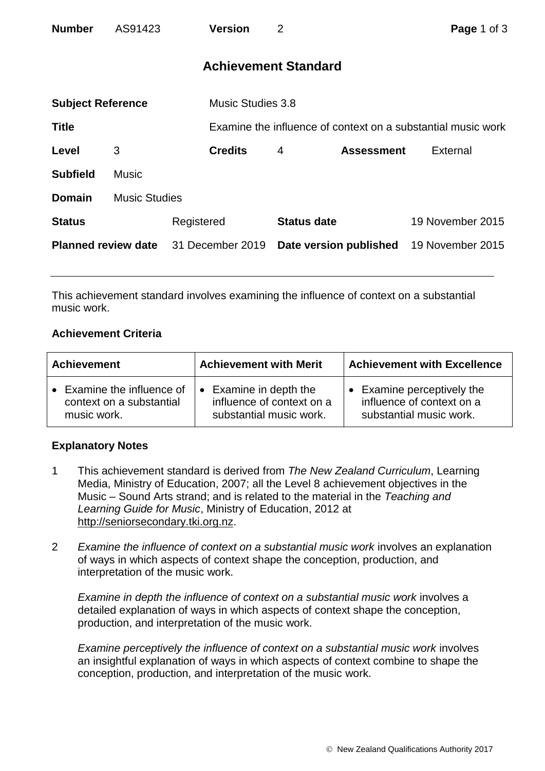| <b>Number</b>               | AS91423              | <b>Version</b>           | $\overline{2}$                                               | Page 1 of 3      |  |  |
|-----------------------------|----------------------|--------------------------|--------------------------------------------------------------|------------------|--|--|
| <b>Achievement Standard</b> |                      |                          |                                                              |                  |  |  |
| <b>Subject Reference</b>    |                      | <b>Music Studies 3.8</b> |                                                              |                  |  |  |
| Title                       |                      |                          | Examine the influence of context on a substantial music work |                  |  |  |
| Level                       | 3                    | <b>Credits</b>           | <b>Assessment</b><br>4                                       | External         |  |  |
| <b>Subfield</b>             | <b>Music</b>         |                          |                                                              |                  |  |  |
| <b>Domain</b>               | <b>Music Studies</b> |                          |                                                              |                  |  |  |
| <b>Status</b>               |                      | Registered               | <b>Status date</b>                                           | 19 November 2015 |  |  |
| <b>Planned review date</b>  |                      | 31 December 2019         | Date version published                                       | 19 November 2015 |  |  |

This achievement standard involves examining the influence of context on a substantial music work.

## **Achievement Criteria**

| <b>Achievement</b>         | <b>Achievement with Merit</b> | <b>Achievement with Excellence</b> |  |
|----------------------------|-------------------------------|------------------------------------|--|
| • Examine the influence of | Examine in depth the          | Examine perceptively the           |  |
| context on a substantial   | influence of context on a     | influence of context on a          |  |
| music work.                | substantial music work.       | substantial music work.            |  |

## **Explanatory Notes**

- 1 This achievement standard is derived from *The New Zealand Curriculum*, Learning Media, Ministry of Education, 2007; all the Level 8 achievement objectives in the Music – Sound Arts strand; and is related to the material in the *Teaching and Learning Guide for Music*, Ministry of Education, 2012 at [http://seniorsecondary.tki.org.nz.](http://seniorsecondary.tki.org.nz/)
- 2 *Examine the influence of context on a substantial music work* involves an explanation of ways in which aspects of context shape the conception, production, and interpretation of the music work.

*Examine in depth the influence of context on a substantial music work* involves a detailed explanation of ways in which aspects of context shape the conception, production, and interpretation of the music work.

*Examine perceptively the influence of context on a substantial music work* involves an insightful explanation of ways in which aspects of context combine to shape the conception, production, and interpretation of the music work.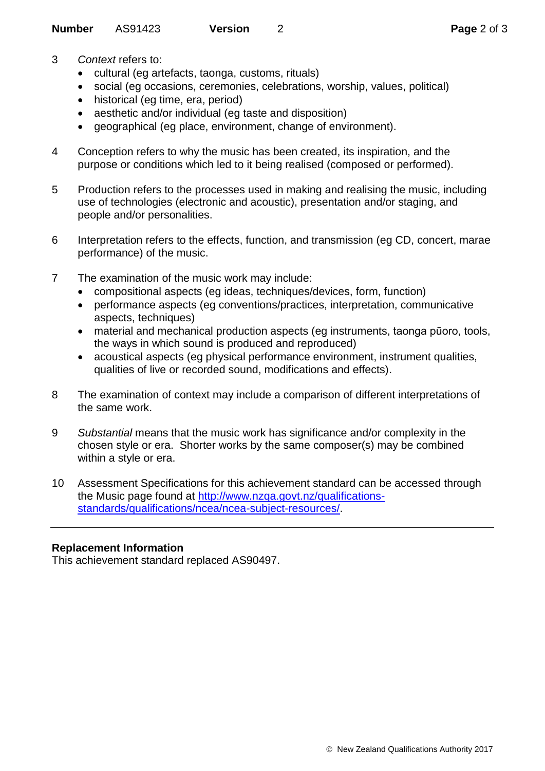- 3 *Context* refers to:
	- cultural (eg artefacts, taonga, customs, rituals)
	- social (eg occasions, ceremonies, celebrations, worship, values, political)
	- historical (eg time, era, period)
	- aesthetic and/or individual (eg taste and disposition)
	- geographical (eg place, environment, change of environment).
- 4 Conception refers to why the music has been created, its inspiration, and the purpose or conditions which led to it being realised (composed or performed).
- 5 Production refers to the processes used in making and realising the music, including use of technologies (electronic and acoustic), presentation and/or staging, and people and/or personalities.
- 6 Interpretation refers to the effects, function, and transmission (eg CD, concert, marae performance) of the music.
- 7 The examination of the music work may include:
	- compositional aspects (eg ideas, techniques/devices, form, function)
	- performance aspects (eg conventions/practices, interpretation, communicative aspects, techniques)
	- material and mechanical production aspects (eg instruments, taonga pūoro, tools, the ways in which sound is produced and reproduced)
	- acoustical aspects (eg physical performance environment, instrument qualities, qualities of live or recorded sound, modifications and effects).
- 8 The examination of context may include a comparison of different interpretations of the same work.
- 9 *Substantial* means that the music work has significance and/or complexity in the chosen style or era. Shorter works by the same composer(s) may be combined within a style or era.
- 10 Assessment Specifications for this achievement standard can be accessed through the Music page found at [http://www.nzqa.govt.nz/qualifications](http://www.nzqa.govt.nz/qualifications-standards/qualifications/ncea/ncea-subject-resources/)[standards/qualifications/ncea/ncea-subject-resources/.](http://www.nzqa.govt.nz/qualifications-standards/qualifications/ncea/ncea-subject-resources/)

## **Replacement Information**

This achievement standard replaced AS90497.